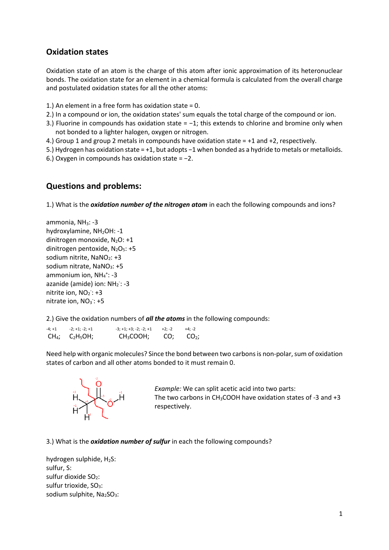## **Oxidation states**

Oxidation state of an atom is the charge of this atom after ionic approximation of its heteronuclear bonds. The oxidation state for an element in a chemical formula is calculated from the overall charge and postulated oxidation states for all the other atoms:

- 1.) An element in a free form has oxidation state = 0.
- 2.) In a compound or ion, the oxidation states' sum equals the total charge of the compound or ion.
- 3.) Fluorine in compounds has oxidation state = -1; this extends to chlorine and bromine only when not bonded to a lighter halogen, oxygen or nitrogen.
- 4.) Group 1 and group 2 metals in compounds have oxidation state = +1 and +2, respectively.
- 5.) Hydrogen has oxidation state = +1, but adopts −1 when bonded as a hydride to metals or metalloids.
- 6.) Oxygen in compounds has oxidation state = −2.

## **Questions and problems:**

1.) What is the *oxidation number of the nitrogen atom* in each the following compounds and ions?

ammonia, NH<sub>3</sub>: -3 hydroxylamine, NH<sub>2</sub>OH: -1 dinitrogen monoxide,  $N_2O: +1$ dinitrogen pentoxide,  $N_2O_5$ : +5 sodium nitrite, NaNO<sub>2</sub>: +3 sodium nitrate,  $NaNO<sub>3</sub>: +5$ ammonium ion,  $NH_4^+$ : -3 azanide (amide) ion: NH<sub>2</sub>: -3 nitrite ion, NO<sub>2</sub>: +3 nitrate ion,  $NO<sub>3</sub>$ : +5

2.) Give the oxidation numbers of *all the atoms* in the following compounds:

| $-4; +1$ | $-2; +1; -2; +1$   | $-3; +1; +3; -2; -2; +1$ | +2; -2 | $+4: -2$        |
|----------|--------------------|--------------------------|--------|-----------------|
|          | $CH4$ ; $C2H5OH$ ; | CH <sub>3</sub> COOH;    |        | $CO2$ ; $CO2$ ; |

Need help with organic molecules? Since the bond between two carbons is non-polar, sum of oxidation states of carbon and all other atoms bonded to it must remain 0.



*Example:* We can split acetic acid into two parts: The two carbons in CH<sub>3</sub>COOH have oxidation states of -3 and  $+3$ respectively.

3.) What is the *oxidation number of sulfur* in each the following compounds?

hydrogen sulphide, H<sub>2</sub>S: sulfur, S: sulfur dioxide  $SO<sub>2</sub>$ : sulfur trioxide, SO<sub>3</sub>: sodium sulphite, Na2SO3: